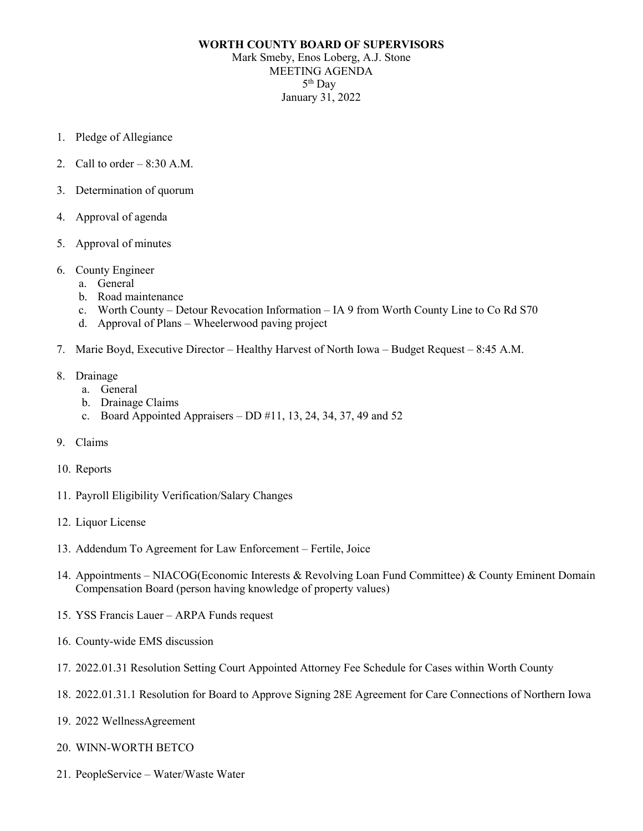# **WORTH COUNTY BOARD OF SUPERVISORS** Mark Smeby, Enos Loberg, A.J. Stone MEETING AGENDA 5th Day January 31, 2022

- 1. Pledge of Allegiance
- 2. Call to order  $-8:30$  A.M.
- 3. Determination of quorum
- 4. Approval of agenda
- 5. Approval of minutes
- 6. County Engineer
	- a. General
	- b. Road maintenance
	- c. Worth County Detour Revocation Information IA 9 from Worth County Line to Co Rd S70
	- d. Approval of Plans Wheelerwood paving project
- 7. Marie Boyd, Executive Director Healthy Harvest of North Iowa Budget Request 8:45 A.M.
- 8. Drainage
	- a. General
	- b. Drainage Claims
	- c. Board Appointed Appraisers  $-$  DD  $\#11$ , 13, 24, 34, 37, 49 and 52
- 9. Claims
- 10. Reports
- 11. Payroll Eligibility Verification/Salary Changes
- 12. Liquor License
- 13. Addendum To Agreement for Law Enforcement Fertile, Joice
- 14. Appointments NIACOG(Economic Interests & Revolving Loan Fund Committee) & County Eminent Domain Compensation Board (person having knowledge of property values)
- 15. YSS Francis Lauer ARPA Funds request
- 16. County-wide EMS discussion
- 17. 2022.01.31 Resolution Setting Court Appointed Attorney Fee Schedule for Cases within Worth County
- 18. 2022.01.31.1 Resolution for Board to Approve Signing 28E Agreement for Care Connections of Northern Iowa
- 19. 2022 WellnessAgreement
- 20. WINN-WORTH BETCO
- 21. PeopleService Water/Waste Water